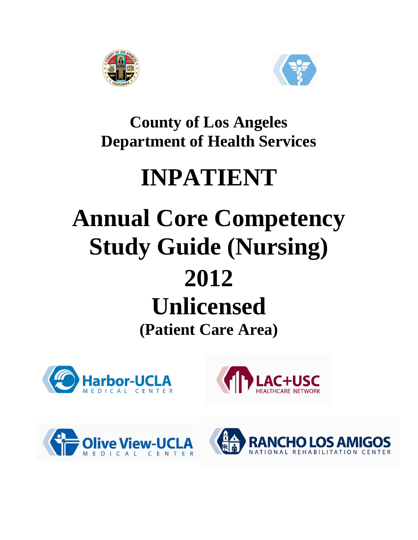



**County of Los Angeles Department of Health Services**

# **INPATIENT**

# **Annual Core Competency Study Guide (Nursing) 2012**

# **Unlicensed**

**(Patient Care Area)**







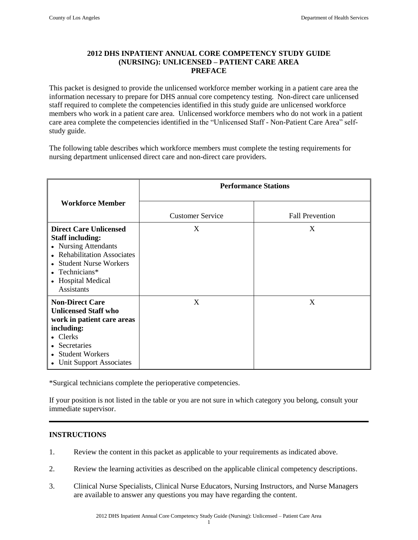# **2012 DHS INPATIENT ANNUAL CORE COMPETENCY STUDY GUIDE (NURSING): UNLICENSED – PATIENT CARE AREA PREFACE**

This packet is designed to provide the unlicensed workforce member working in a patient care area the information necessary to prepare for DHS annual core competency testing. Non-direct care unlicensed staff required to complete the competencies identified in this study guide are unlicensed workforce members who work in a patient care area. Unlicensed workforce members who do not work in a patient care area complete the competencies identified in the "Unlicensed Staff - Non-Patient Care Area" selfstudy guide.

The following table describes which workforce members must complete the testing requirements for nursing department unlicensed direct care and non-direct care providers.

|                                                                                                                                                                                                            | <b>Performance Stations</b> |                        |  |
|------------------------------------------------------------------------------------------------------------------------------------------------------------------------------------------------------------|-----------------------------|------------------------|--|
| <b>Workforce Member</b>                                                                                                                                                                                    | <b>Customer Service</b>     | <b>Fall Prevention</b> |  |
| <b>Direct Care Unlicensed</b><br><b>Staff including:</b><br>• Nursing Attendants<br>• Rehabilitation Associates<br>• Student Nurse Workers<br>• Technicians $*$<br>• Hospital Medical<br><b>Assistants</b> | X                           | X                      |  |
| <b>Non-Direct Care</b><br><b>Unlicensed Staff who</b><br>work in patient care areas<br>including:<br>• Clerks<br>• Secretaries<br>• Student Workers<br>• Unit Support Associates                           | X                           | X                      |  |

\*Surgical technicians complete the perioperative competencies.

If your position is not listed in the table or you are not sure in which category you belong, consult your immediate supervisor.

## **INSTRUCTIONS**

- 1. Review the content in this packet as applicable to your requirements as indicated above.
- 2. Review the learning activities as described on the applicable clinical competency descriptions.
- 3. Clinical Nurse Specialists, Clinical Nurse Educators, Nursing Instructors, and Nurse Managers are available to answer any questions you may have regarding the content.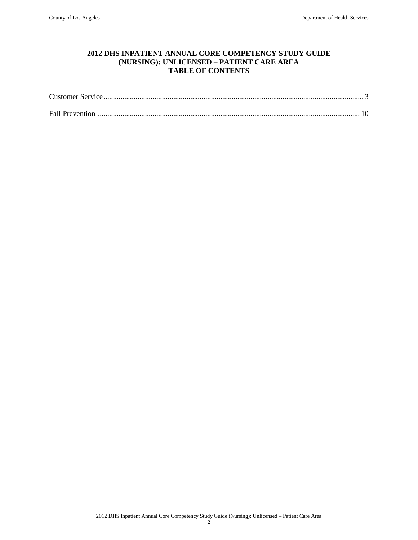# **2012 DHS INPATIENT ANNUAL CORE COMPETENCY STUDY GUIDE (NURSING): UNLICENSED – PATIENT CARE AREA TABLE OF CONTENTS**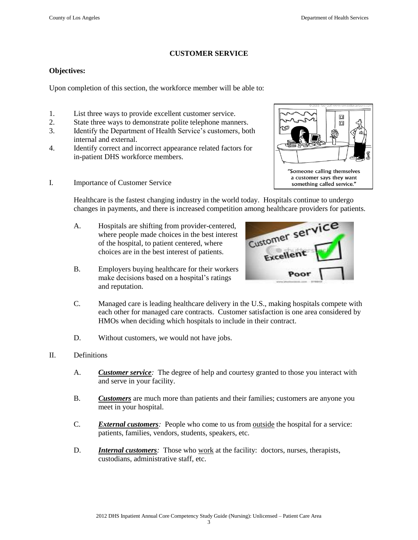$\square$  $\Box$ 

"Someone calling themselves a customer says they want something called service."

### **CUSTOMER SERVICE**

#### **Objectives:**

Upon completion of this section, the workforce member will be able to:

- 1. List three ways to provide excellent customer service.
- 2. State three ways to demonstrate polite telephone manners.
- 3. Identify the Department of Health Service's customers, both internal and external.
- 4. Identify correct and incorrect appearance related factors for in-patient DHS workforce members.
- I. Importance of Customer Service

Healthcare is the fastest changing industry in the world today. Hospitals continue to undergo changes in payments, and there is increased competition among healthcare providers for patients.

- A. Hospitals are shifting from provider-centered, where people made choices in the best interest of the hospital, to patient centered, where choices are in the best interest of patients.
- B. Employers buying healthcare for their workers make decisions based on a hospital's ratings and reputation.



- C. Managed care is leading healthcare delivery in the U.S., making hospitals compete with each other for managed care contracts. Customer satisfaction is one area considered by HMOs when deciding which hospitals to include in their contract.
- D. Without customers, we would not have jobs.
- II. Definitions
	- A. *Customer service:* The degree of help and courtesy granted to those you interact with and serve in your facility.
	- B. *Customers* are much more than patients and their families; customers are anyone you meet in your hospital.
	- C. *External customers:* People who come to us from outside the hospital for a service: patients, families, vendors, students, speakers, etc.
	- D. *Internal customers*: Those who work at the facility: doctors, nurses, therapists, custodians, administrative staff, etc.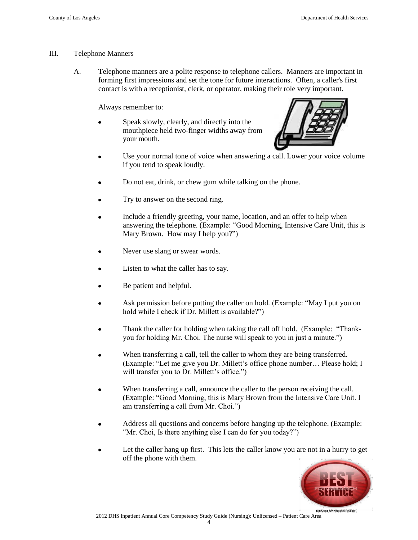### III. Telephone Manners

A. Telephone manners are a polite response to telephone callers. Manners are important in forming first impressions and set the tone for future interactions. Often, a caller's first contact is with a receptionist, clerk, or operator, making their role very important.

Always remember to:

Speak slowly, clearly, and directly into the mouthpiece held two-finger widths away from your mouth.



- Use your normal tone of voice when answering a call. Lower your voice volume if you tend to speak loudly.
- Do not eat, drink, or chew gum while talking on the phone.
- Try to answer on the second ring.
- Include a friendly greeting, your name, location, and an offer to help when answering the telephone. (Example: "Good Morning, Intensive Care Unit, this is Mary Brown. How may I help you?")
- Never use slang or swear words.
- Listen to what the caller has to say.
- Be patient and helpful.
- Ask permission before putting the caller on hold. (Example: "May I put you on hold while I check if Dr. Millett is available?")
- Thank the caller for holding when taking the call off hold. (Example: "Thankyou for holding Mr. Choi. The nurse will speak to you in just a minute.")
- When transferring a call, tell the caller to whom they are being transferred. (Example: "Let me give you Dr. Millett's office phone number… Please hold; I will transfer you to Dr. Millett's office.")
- When transferring a call, announce the caller to the person receiving the call. (Example: "Good Morning, this is Mary Brown from the Intensive Care Unit. I am transferring a call from Mr. Choi.")
- Address all questions and concerns before hanging up the telephone. (Example: "Mr. Choi, Is there anything else I can do for you today?")
- Let the caller hang up first. This lets the caller know you are not in a hurry to get off the phone with them.

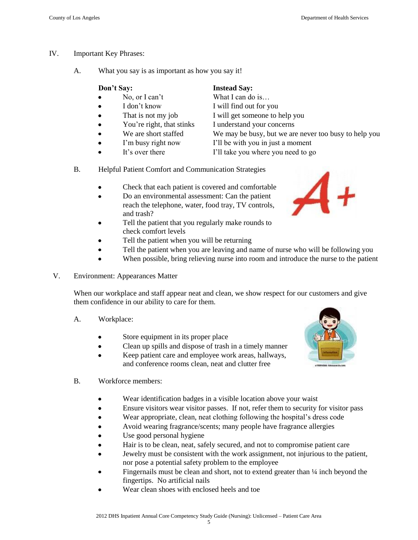- IV. Important Key Phrases:
	- A. What you say is as important as how you say it!

|           | Don't Say:         | <b>Instead Say:</b>            |
|-----------|--------------------|--------------------------------|
|           | No, or I can't     | What I can do is               |
| $\bullet$ | I don't know       | I will find out for you        |
|           | That is not my job | I will get someone to help you |

- 
- 
- 
- 
- You're right, that stinks I understand your concerns
	-
- 
- 

# We are short staffed We may be busy, but we are never too busy to help you

- I'm busy right now I'll be with you in just a moment
- It's over there I'll take you where you need to go
- B. Helpful Patient Comfort and Communication Strategies
	- Check that each patient is covered and comfortable
	- Do an environmental assessment: Can the patient reach the telephone, water, food tray, TV controls, and trash?
	- Tell the patient that you regularly make rounds to check comfort levels
	- Tell the patient when you will be returning
	- Tell the patient when you are leaving and name of nurse who will be following you
	- When possible, bring relieving nurse into room and introduce the nurse to the patient
- V. Environment: Appearances Matter

When our workplace and staff appear neat and clean, we show respect for our customers and give them confidence in our ability to care for them.

- A. Workplace:
	- Store equipment in its proper place
	- Clean up spills and dispose of trash in a timely manner  $\bullet$
	- Keep patient care and employee work areas, hallways, and conference rooms clean, neat and clutter free



- B. Workforce members:
	- Wear identification badges in a visible location above your waist
	- Ensure visitors wear visitor passes. If not, refer them to security for visitor pass
	- Wear appropriate, clean, neat clothing following the hospital's dress code
	- Avoid wearing fragrance/scents; many people have fragrance allergies
	- Use good personal hygiene
	- Hair is to be clean, neat, safely secured, and not to compromise patient care
	- Jewelry must be consistent with the work assignment, not injurious to the patient, nor pose a potential safety problem to the employee
	- Fingernails must be clean and short, not to extend greater than  $\frac{1}{4}$  inch beyond the fingertips. No artificial nails
	- Wear clean shoes with enclosed heels and toe

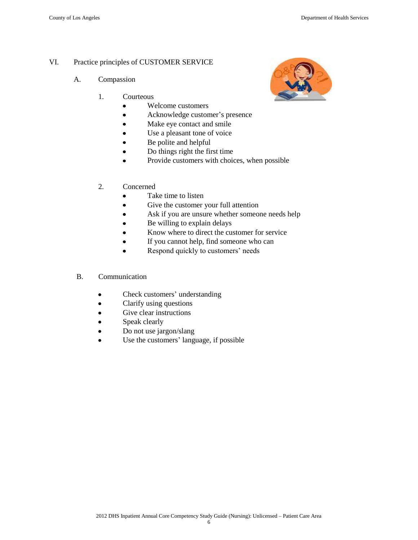# VI. Practice principles of CUSTOMER SERVICE

- A. Compassion
	- 1. Courteous
		- Welcome customers  $\bullet$
		- Acknowledge customer's presence  $\bullet$
		- Make eye contact and smile
		- Use a pleasant tone of voice  $\bullet$
		- Be polite and helpful
		- Do things right the first time
		- Provide customers with choices, when possible
	- 2. Concerned
		- Take time to listen  $\bullet$
		- Give the customer your full attention  $\bullet$
		- Ask if you are unsure whether someone needs help
		- Be willing to explain delays  $\bullet$
		- Know where to direct the customer for service
		- If you cannot help, find someone who can  $\bullet$
		- $\bullet$ Respond quickly to customers' needs
- B. Communication
	- Check customers' understanding  $\bullet$
	- Clarify using questions  $\bullet$
	- Give clear instructions  $\bullet$
	- Speak clearly
	- Do not use jargon/slang  $\bullet$
	- Use the customers' language, if possible

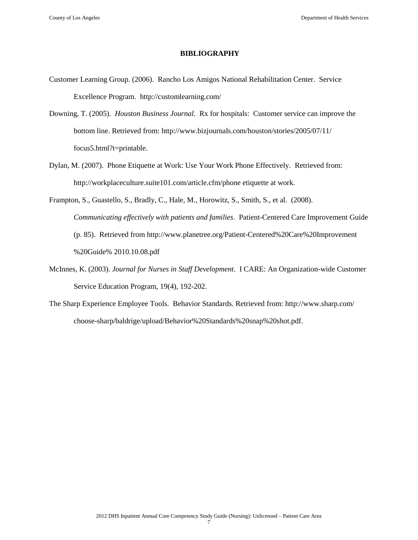#### **BIBLIOGRAPHY**

- Customer Learning Group. (2006). Rancho Los Amigos National Rehabilitation Center. Service Excellence Program. http://customlearning.com/
- Downing, T. (2005). *Houston Business Journal.* Rx for hospitals: Customer service can improve the bottom line. Retrieved from: http://www.bizjournals.com/houston/stories/2005/07/11/ focus5.html?t=printable.
- Dylan, M. (2007). Phone Etiquette at Work: Use Your Work Phone Effectively. Retrieved from: http://workplaceculture.suite101.com/article.cfm/phone etiquette at work.
- Frampton, S., Guastello, S., Bradly, C., Hale, M., Horowitz, S., Smith, S., et al. (2008). *Communicating effectively with patients and families*. Patient-Centered Care Improvement Guide (p. 85). Retrieved from<http://www.planetree.org/Patient-Centered%20Care%20Improvement> %20Guide% 2010.10.08.pdf
- McInnes, K. (2003). *Journal for Nurses in Staff Development*. I CARE: An Organization-wide Customer Service Education Program, 19(4), 192-202.
- The Sharp Experience Employee Tools. Behavior Standards. Retrieved from:<http://www.sharp.com/> choose-sharp/baldrige/upload/Behavior%20Standards%20snap%20shot.pdf.

7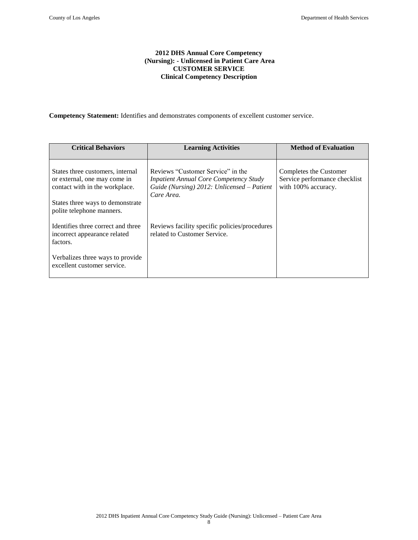#### **2012 DHS Annual Core Competency (Nursing): - Unlicensed in Patient Care Area CUSTOMER SERVICE Clinical Competency Description**

**Competency Statement:** Identifies and demonstrates components of excellent customer service.

| <b>Critical Behaviors</b>                                                                                                                                           | <b>Learning Activities</b>                                                                                                                     | <b>Method of Evaluation</b>                                                    |
|---------------------------------------------------------------------------------------------------------------------------------------------------------------------|------------------------------------------------------------------------------------------------------------------------------------------------|--------------------------------------------------------------------------------|
| States three customers, internal<br>or external, one may come in<br>contact with in the workplace.<br>States three ways to demonstrate<br>polite telephone manners. | Reviews "Customer Service" in the<br><b>Inpatient Annual Core Competency Study</b><br>Guide (Nursing) 2012: Unlicensed – Patient<br>Care Area. | Completes the Customer<br>Service performance checklist<br>with 100% accuracy. |
| Identifies three correct and three<br>incorrect appearance related<br>factors.                                                                                      | Reviews facility specific policies/procedures<br>related to Customer Service.                                                                  |                                                                                |
| Verbalizes three ways to provide<br>excellent customer service.                                                                                                     |                                                                                                                                                |                                                                                |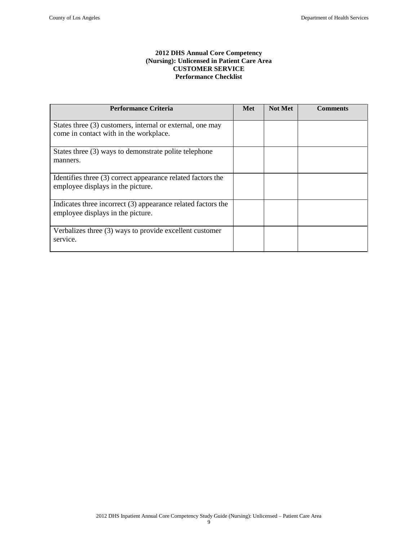#### **2012 DHS Annual Core Competency (Nursing): Unlicensed in Patient Care Area CUSTOMER SERVICE Performance Checklist**

| <b>Performance Criteria</b>                                                                         | <b>Met</b> | <b>Not Met</b> | <b>Comments</b> |
|-----------------------------------------------------------------------------------------------------|------------|----------------|-----------------|
| States three (3) customers, internal or external, one may<br>come in contact with in the workplace. |            |                |                 |
| States three (3) ways to demonstrate polite telephone<br>manners.                                   |            |                |                 |
| Identifies three (3) correct appearance related factors the<br>employee displays in the picture.    |            |                |                 |
| Indicates three incorrect (3) appearance related factors the<br>employee displays in the picture.   |            |                |                 |
| Verbalizes three (3) ways to provide excellent customer<br>service.                                 |            |                |                 |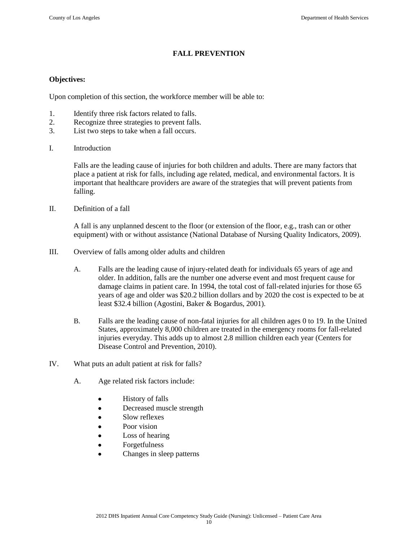# **FALL PREVENTION**

### **Objectives:**

Upon completion of this section, the workforce member will be able to:

- 1. Identify three risk factors related to falls.
- 2. Recognize three strategies to prevent falls.
- 3. List two steps to take when a fall occurs.
- I. Introduction

Falls are the leading cause of injuries for both children and adults. There are many factors that place a patient at risk for falls, including age related, medical, and environmental factors. It is important that healthcare providers are aware of the strategies that will prevent patients from falling.

II. Definition of a fall

A fall is any unplanned descent to the floor (or extension of the floor, e.g., trash can or other equipment) with or without assistance (National Database of Nursing Quality Indicators, 2009).

- III. Overview of falls among older adults and children
	- A. Falls are the leading cause of injury-related death for individuals 65 years of age and older. In addition, falls are the number one adverse event and most frequent cause for damage claims in patient care. In 1994, the total cost of fall-related injuries for those 65 years of age and older was \$20.2 billion dollars and by 2020 the cost is expected to be at least \$32.4 billion (Agostini, Baker & Bogardus, 2001).
	- B. Falls are the leading cause of non-fatal injuries for all children ages 0 to 19. In the United States, approximately 8,000 children are treated in the emergency rooms for fall-related injuries everyday. This adds up to almost 2.8 million children each year (Centers for Disease Control and Prevention, 2010).
- IV. What puts an adult patient at risk for falls?
	- A. Age related risk factors include:
		- History of falls
		- Decreased muscle strength  $\bullet$
		- Slow reflexes
		- Poor vision
		- $\bullet$ Loss of hearing
		- $\bullet$ Forgetfulness
		- Changes in sleep patterns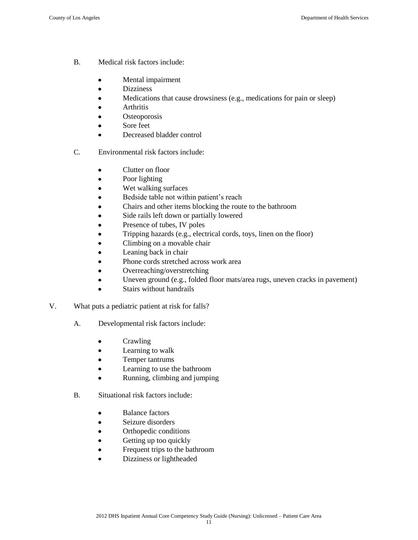- B. Medical risk factors include:
	- Mental impairment  $\bullet$
	- $\bullet$ Dizziness
	- $\bullet$ Medications that cause drowsiness (e.g., medications for pain or sleep)
	- $\bullet$ Arthritis
	- **Osteoporosis**
	- Sore feet  $\bullet$
	- Decreased bladder control  $\bullet$
- C. Environmental risk factors include:
	- Clutter on floor  $\bullet$
	- $\bullet$ Poor lighting
	- $\bullet$ Wet walking surfaces
	- Bedside table not within patient's reach
	- $\bullet$ Chairs and other items blocking the route to the bathroom
	- Side rails left down or partially lowered
	- Presence of tubes, IV poles
	- Tripping hazards (e.g., electrical cords, toys, linen on the floor)  $\bullet$
	- Climbing on a movable chair
	- Leaning back in chair
	- Phone cords stretched across work area
	- Overreaching/overstretching  $\bullet$
	- Uneven ground (e.g., folded floor mats/area rugs, uneven cracks in pavement)  $\bullet$
	- Stairs without handrails
- V. What puts a pediatric patient at risk for falls?
	- A. Developmental risk factors include:
		- Crawling  $\bullet$
		- Learning to walk  $\bullet$
		- Temper tantrums
		- Learning to use the bathroom
		- Running, climbing and jumping  $\bullet$
	- B. Situational risk factors include:
		- Balance factors  $\bullet$
		- $\bullet$ Seizure disorders
		- Orthopedic conditions  $\bullet$
		- Getting up too quickly
		- Frequent trips to the bathroom
		- Dizziness or lightheaded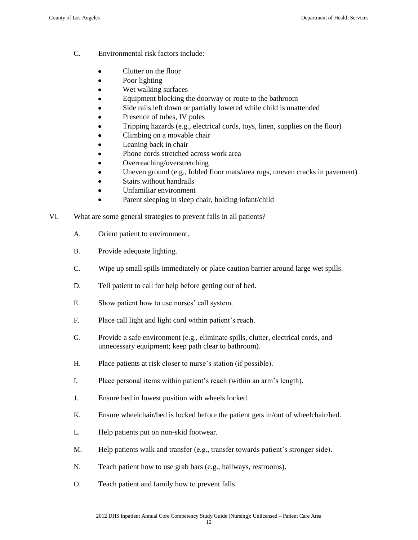- C. Environmental risk factors include:
	- Clutter on the floor
	- Poor lighting  $\bullet$
	- Wet walking surfaces
	- Equipment blocking the doorway or route to the bathroom
	- Side rails left down or partially lowered while child is unattended
	- Presence of tubes, IV poles
	- Tripping hazards (e.g., electrical cords, toys, linen, supplies on the floor)
	- Climbing on a movable chair
	- Leaning back in chair
	- Phone cords stretched across work area
	- Overreaching/overstretching
	- Uneven ground (e.g., folded floor mats/area rugs, uneven cracks in pavement)
	- Stairs without handrails
	- Unfamiliar environment
	- Parent sleeping in sleep chair, holding infant/child
- VI. What are some general strategies to prevent falls in all patients?
	- A. Orient patient to environment.
	- B. Provide adequate lighting.
	- C. Wipe up small spills immediately or place caution barrier around large wet spills.
	- D. Tell patient to call for help before getting out of bed.
	- E. Show patient how to use nurses' call system.
	- F. Place call light and light cord within patient's reach.
	- G. Provide a safe environment (e.g., eliminate spills, clutter, electrical cords, and unnecessary equipment; keep path clear to bathroom).
	- H. Place patients at risk closer to nurse's station (if possible).
	- I. Place personal items within patient's reach (within an arm's length).
	- J. Ensure bed in lowest position with wheels locked.
	- K. Ensure wheelchair/bed is locked before the patient gets in/out of wheelchair/bed.
	- L. Help patients put on non-skid footwear.
	- M. Help patients walk and transfer (e.g., transfer towards patient's stronger side).
	- N. Teach patient how to use grab bars (e.g., hallways, restrooms).
	- O. Teach patient and family how to prevent falls.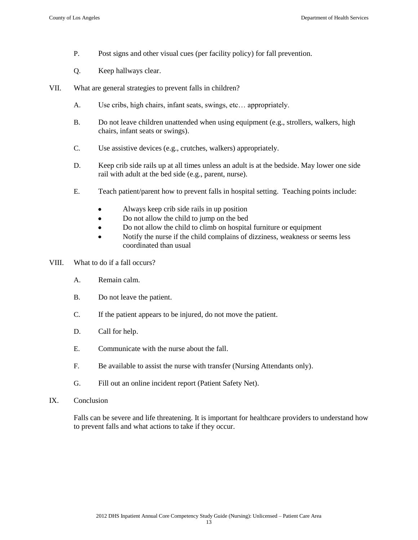- P. Post signs and other visual cues (per facility policy) for fall prevention.
- Q. Keep hallways clear.
- VII. What are general strategies to prevent falls in children?
	- A. Use cribs, high chairs, infant seats, swings, etc… appropriately.
	- B. Do not leave children unattended when using equipment (e.g., strollers, walkers, high chairs, infant seats or swings).
	- C. Use assistive devices (e.g., crutches, walkers) appropriately.
	- D. Keep crib side rails up at all times unless an adult is at the bedside. May lower one side rail with adult at the bed side (e.g., parent, nurse).
	- E. Teach patient/parent how to prevent falls in hospital setting. Teaching points include:
		- Always keep crib side rails in up position
		- Do not allow the child to jump on the bed  $\bullet$
		- $\bullet$ Do not allow the child to climb on hospital furniture or equipment
		- Notify the nurse if the child complains of dizziness, weakness or seems less coordinated than usual
- VIII. What to do if a fall occurs?
	- A. Remain calm.
	- B. Do not leave the patient.
	- C. If the patient appears to be injured, do not move the patient.
	- D. Call for help.
	- E. Communicate with the nurse about the fall.
	- F. Be available to assist the nurse with transfer (Nursing Attendants only).
	- G. Fill out an online incident report (Patient Safety Net).
- IX. Conclusion

Falls can be severe and life threatening. It is important for healthcare providers to understand how to prevent falls and what actions to take if they occur.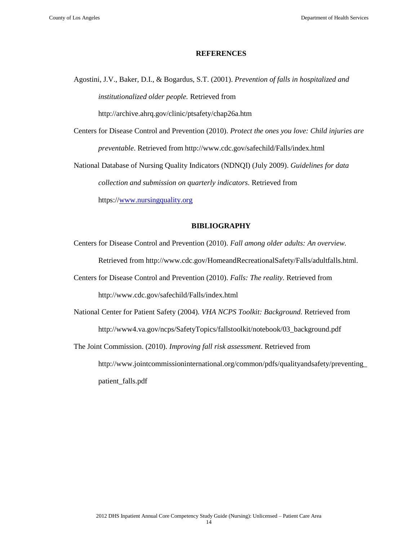#### **REFERENCES**

Agostini, J.V., Baker, D.I., & Bogardus, S.T. (2001). *Prevention of falls in hospitalized and institutionalized older people.* Retrieved from

http://archive.ahrq.gov/clinic/ptsafety/chap26a.htm

Centers for Disease Control and Prevention (2010). *Protect the ones you love: Child injuries are preventable*. Retrieved from http://www.cdc.gov/safechild/Falls/index.html

National Database of Nursing Quality Indicators (NDNQI) (July 2009). *Guidelines for data collection and submission on quarterly indicators.* Retrieved from

https:/[/www.nursingquality.org](http://www.nursingquality.org/)

### **BIBLIOGRAPHY**

- Centers for Disease Control and Prevention (2010). *Fall among older adults: An overview.*  Retrieved from http://www.cdc.gov/HomeandRecreationalSafety/Falls/adultfalls.html.
- Centers for Disease Control and Prevention (2010). *Falls: The reality.* Retrieved from http://www.cdc.gov/safechild/Falls/index.html
- National Center for Patient Safety (2004). *VHA NCPS Toolkit: Background.* Retrieved from http://www4.va.gov/ncps/SafetyTopics/fallstoolkit/notebook/03\_background.pdf
- The Joint Commission. (2010). *Improving fall risk assessment*. Retrieved from http://www.jointcommissioninternational.org/common/pdfs/qualityandsafety/preventing\_ patient\_falls.pdf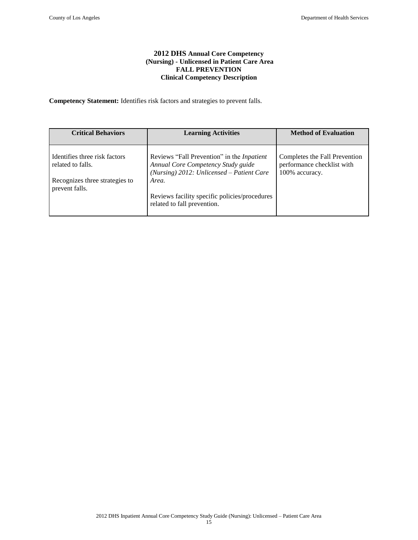#### **2012 DHS Annual Core Competency (Nursing) - Unlicensed in Patient Care Area FALL PREVENTION Clinical Competency Description**

**Competency Statement:** Identifies risk factors and strategies to prevent falls.

| <b>Critical Behaviors</b>                                                                              | <b>Learning Activities</b>                                                                                                                                                                                                       | <b>Method of Evaluation</b>                                                   |
|--------------------------------------------------------------------------------------------------------|----------------------------------------------------------------------------------------------------------------------------------------------------------------------------------------------------------------------------------|-------------------------------------------------------------------------------|
| Identifies three risk factors<br>related to falls.<br>Recognizes three strategies to<br>prevent falls. | Reviews "Fall Prevention" in the <i>Inpatient</i><br>Annual Core Competency Study guide<br>(Nursing) $2012$ : Unlicensed – Patient Care<br>Area.<br>Reviews facility specific policies/procedures<br>related to fall prevention. | Completes the Fall Prevention<br>performance checklist with<br>100% accuracy. |